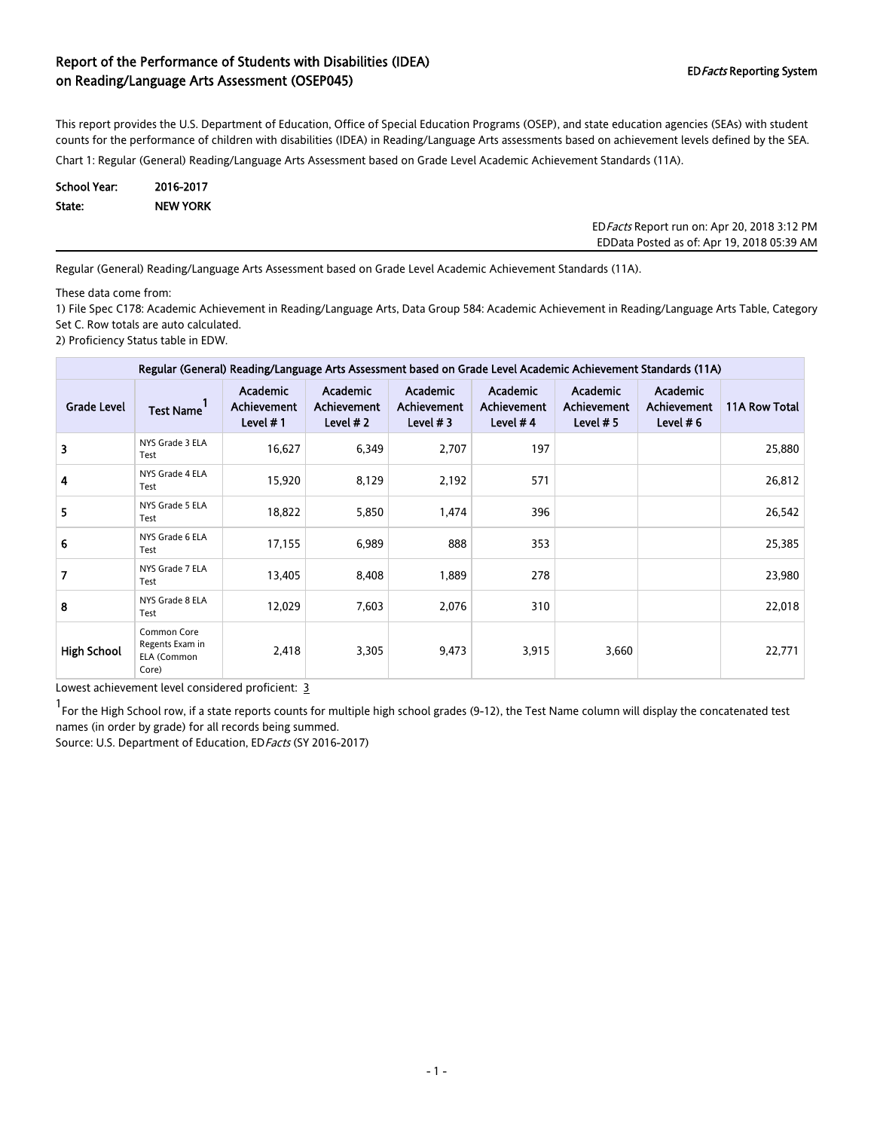This report provides the U.S. Department of Education, Office of Special Education Programs (OSEP), and state education agencies (SEAs) with student counts for the performance of children with disabilities (IDEA) in Reading/Language Arts assessments based on achievement levels defined by the SEA.

Chart 1: Regular (General) Reading/Language Arts Assessment based on Grade Level Academic Achievement Standards (11A).

| School Year: | 2016-2017       |
|--------------|-----------------|
| State:       | <b>NEW YORK</b> |

EDFacts Report run on: Apr 20, 2018 3:12 PM EDData Posted as of: Apr 19, 2018 05:39 AM

Regular (General) Reading/Language Arts Assessment based on Grade Level Academic Achievement Standards (11A).

These data come from:

1) File Spec C178: Academic Achievement in Reading/Language Arts, Data Group 584: Academic Achievement in Reading/Language Arts Table, Category Set C. Row totals are auto calculated.

2) Proficiency Status table in EDW.

| Regular (General) Reading/Language Arts Assessment based on Grade Level Academic Achievement Standards (11A) |                                                        |                                                     |                                              |                                              |                                                     |                                               |                                               |               |  |
|--------------------------------------------------------------------------------------------------------------|--------------------------------------------------------|-----------------------------------------------------|----------------------------------------------|----------------------------------------------|-----------------------------------------------------|-----------------------------------------------|-----------------------------------------------|---------------|--|
| <b>Grade Level</b>                                                                                           | <b>Test Name</b>                                       | <b>Academic</b><br><b>Achievement</b><br>Level $#1$ | Academic<br><b>Achievement</b><br>Level $#2$ | Academic<br><b>Achievement</b><br>Level $#3$ | <b>Academic</b><br><b>Achievement</b><br>Level $#4$ | Academic<br><b>Achievement</b><br>Level $# 5$ | Academic<br><b>Achievement</b><br>Level $# 6$ | 11A Row Total |  |
| 3                                                                                                            | NYS Grade 3 ELA<br>Test                                | 16,627                                              | 6,349                                        | 2,707                                        | 197                                                 |                                               |                                               | 25,880        |  |
| 4                                                                                                            | NYS Grade 4 ELA<br>Test                                | 15,920                                              | 8,129                                        | 2,192                                        | 571                                                 |                                               |                                               | 26,812        |  |
| 5                                                                                                            | NYS Grade 5 ELA<br>Test                                | 18,822                                              | 5,850                                        | 1,474                                        | 396                                                 |                                               |                                               | 26,542        |  |
| 6                                                                                                            | NYS Grade 6 ELA<br>Test                                | 17,155                                              | 6,989                                        | 888                                          | 353                                                 |                                               |                                               | 25,385        |  |
| 7                                                                                                            | NYS Grade 7 ELA<br>Test                                | 13,405                                              | 8,408                                        | 1,889                                        | 278                                                 |                                               |                                               | 23,980        |  |
| 8                                                                                                            | NYS Grade 8 ELA<br>Test                                | 12,029                                              | 7,603                                        | 2,076                                        | 310                                                 |                                               |                                               | 22,018        |  |
| <b>High School</b>                                                                                           | Common Core<br>Regents Exam in<br>ELA (Common<br>Core) | 2,418                                               | 3,305                                        | 9,473                                        | 3,915                                               | 3,660                                         |                                               | 22,771        |  |

Lowest achievement level considered proficient: 3

1 For the High School row, if a state reports counts for multiple high school grades (9-12), the Test Name column will display the concatenated test names (in order by grade) for all records being summed.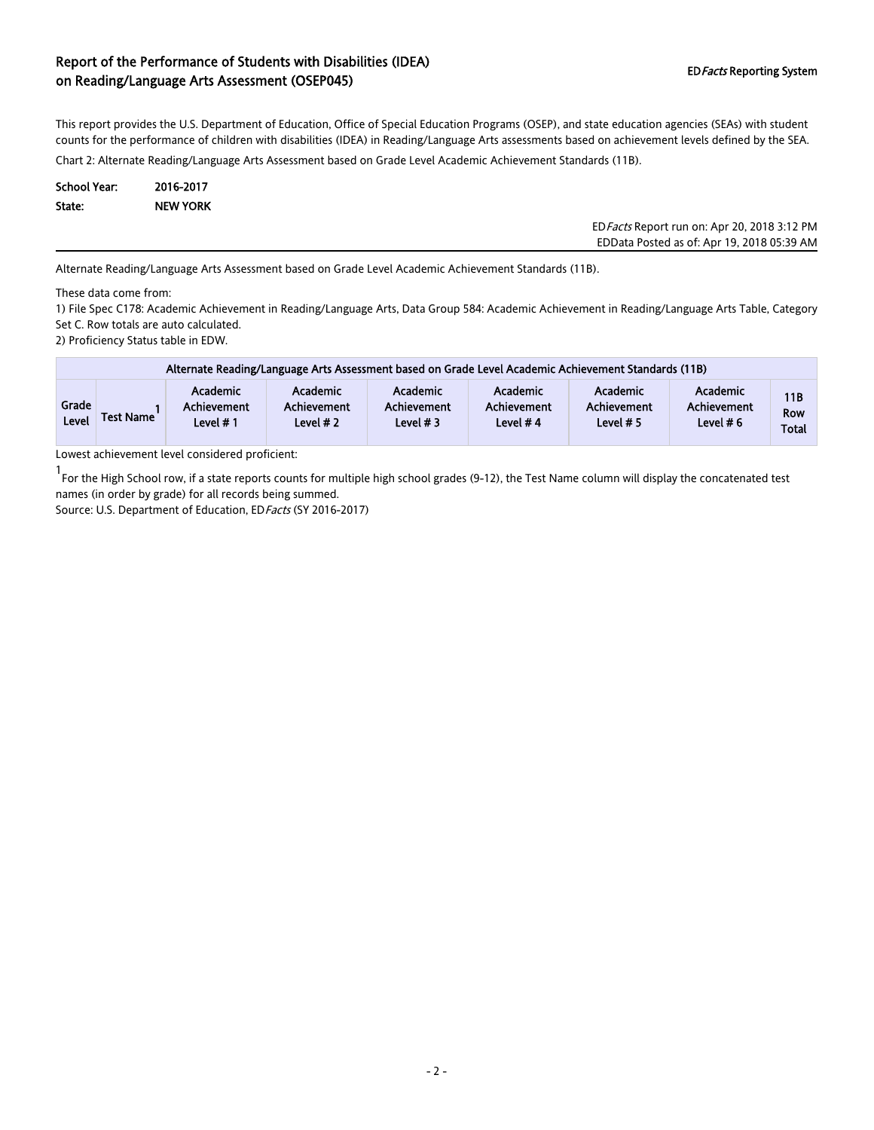This report provides the U.S. Department of Education, Office of Special Education Programs (OSEP), and state education agencies (SEAs) with student counts for the performance of children with disabilities (IDEA) in Reading/Language Arts assessments based on achievement levels defined by the SEA.

Chart 2: Alternate Reading/Language Arts Assessment based on Grade Level Academic Achievement Standards (11B).

| School Year: | 2016-2017       |
|--------------|-----------------|
| State:       | <b>NEW YORK</b> |

EDFacts Report run on: Apr 20, 2018 3:12 PM EDData Posted as of: Apr 19, 2018 05:39 AM

Alternate Reading/Language Arts Assessment based on Grade Level Academic Achievement Standards (11B).

These data come from:

1) File Spec C178: Academic Achievement in Reading/Language Arts, Data Group 584: Academic Achievement in Reading/Language Arts Table, Category Set C. Row totals are auto calculated.

2) Proficiency Status table in EDW.

|                | Alternate Reading/Language Arts Assessment based on Grade Level Academic Achievement Standards (11B) |                                                   |                                       |                                              |                                              |                                      |                                        |                                          |  |  |  |
|----------------|------------------------------------------------------------------------------------------------------|---------------------------------------------------|---------------------------------------|----------------------------------------------|----------------------------------------------|--------------------------------------|----------------------------------------|------------------------------------------|--|--|--|
| Grade<br>Level | <b>Test Name</b>                                                                                     | <b>Academic</b><br><b>Achievement</b><br>Level #1 | Academic<br>Achievement<br>Level $#2$ | Academic<br><b>Achievement</b><br>Level $#3$ | <b>Academic</b><br>Achievement<br>Level $#4$ | Academic<br>Achievement<br>Level # 5 | Academic<br>Achievement<br>Level $# 6$ | <b>11B</b><br><b>Row</b><br><b>Total</b> |  |  |  |

Lowest achievement level considered proficient:

1 For the High School row, if a state reports counts for multiple high school grades (9-12), the Test Name column will display the concatenated test names (in order by grade) for all records being summed.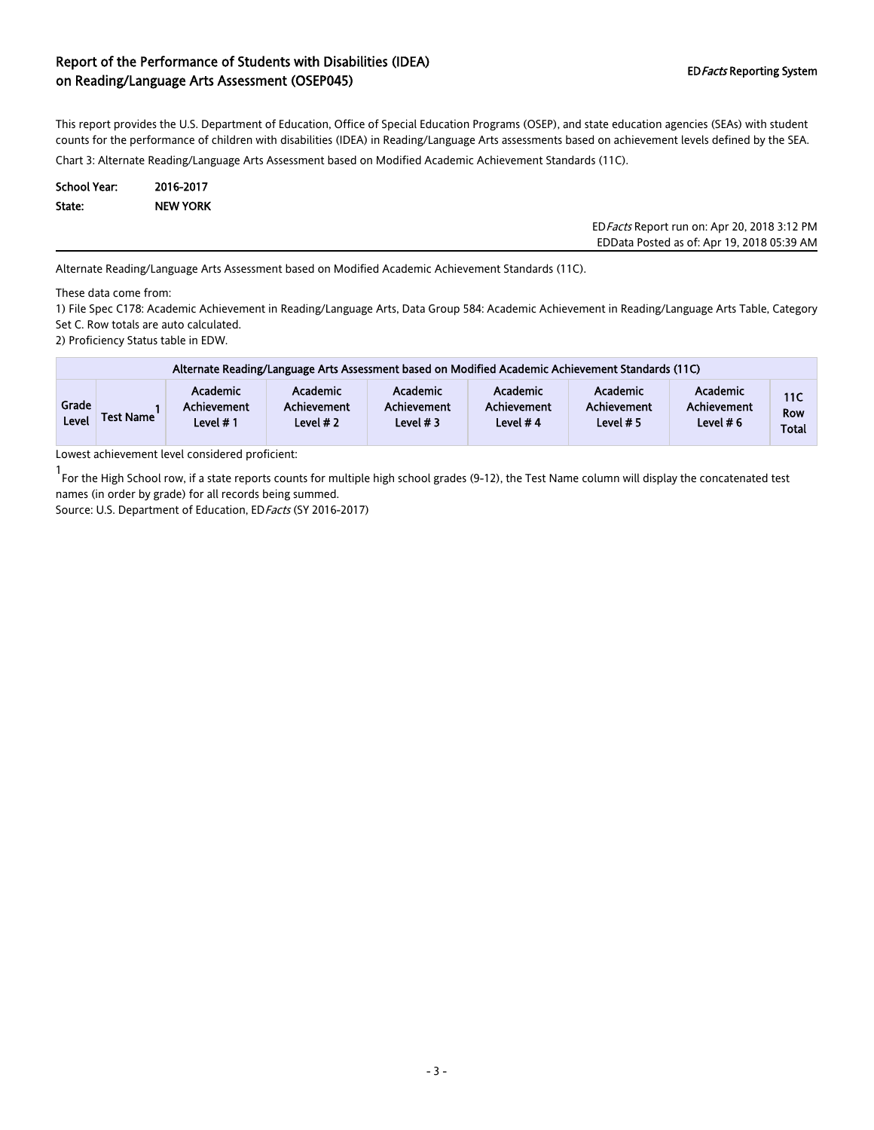This report provides the U.S. Department of Education, Office of Special Education Programs (OSEP), and state education agencies (SEAs) with student counts for the performance of children with disabilities (IDEA) in Reading/Language Arts assessments based on achievement levels defined by the SEA.

Chart 3: Alternate Reading/Language Arts Assessment based on Modified Academic Achievement Standards (11C).

| School Year: | 2016-2017       |
|--------------|-----------------|
| State:       | <b>NEW YORK</b> |

| ED Facts Report run on: Apr 20, 2018 3:12 PM |
|----------------------------------------------|
| EDData Posted as of: Apr 19, 2018 05:39 AM   |
|                                              |

Alternate Reading/Language Arts Assessment based on Modified Academic Achievement Standards (11C).

These data come from:

1) File Spec C178: Academic Achievement in Reading/Language Arts, Data Group 584: Academic Achievement in Reading/Language Arts Table, Category Set C. Row totals are auto calculated.

2) Proficiency Status table in EDW.

|                       | Alternate Reading/Language Arts Assessment based on Modified Academic Achievement Standards (11C) |                                             |                                       |                                       |                                              |                                               |                                       |                                   |  |  |  |
|-----------------------|---------------------------------------------------------------------------------------------------|---------------------------------------------|---------------------------------------|---------------------------------------|----------------------------------------------|-----------------------------------------------|---------------------------------------|-----------------------------------|--|--|--|
| Grade<br><b>Level</b> | <b>Test Name</b>                                                                                  | <b>Academic</b><br>Achievement<br>Level # 1 | Academic<br>Achievement<br>Level $#2$ | Academic<br>Achievement<br>Level $#3$ | <b>Academic</b><br>Achievement<br>Level $#4$ | <b>Academic</b><br>Achievement<br>Level $# 5$ | Academic<br>Achievement<br>Level $#6$ | 11C<br><b>Row</b><br><b>Total</b> |  |  |  |

Lowest achievement level considered proficient:

1 For the High School row, if a state reports counts for multiple high school grades (9-12), the Test Name column will display the concatenated test names (in order by grade) for all records being summed.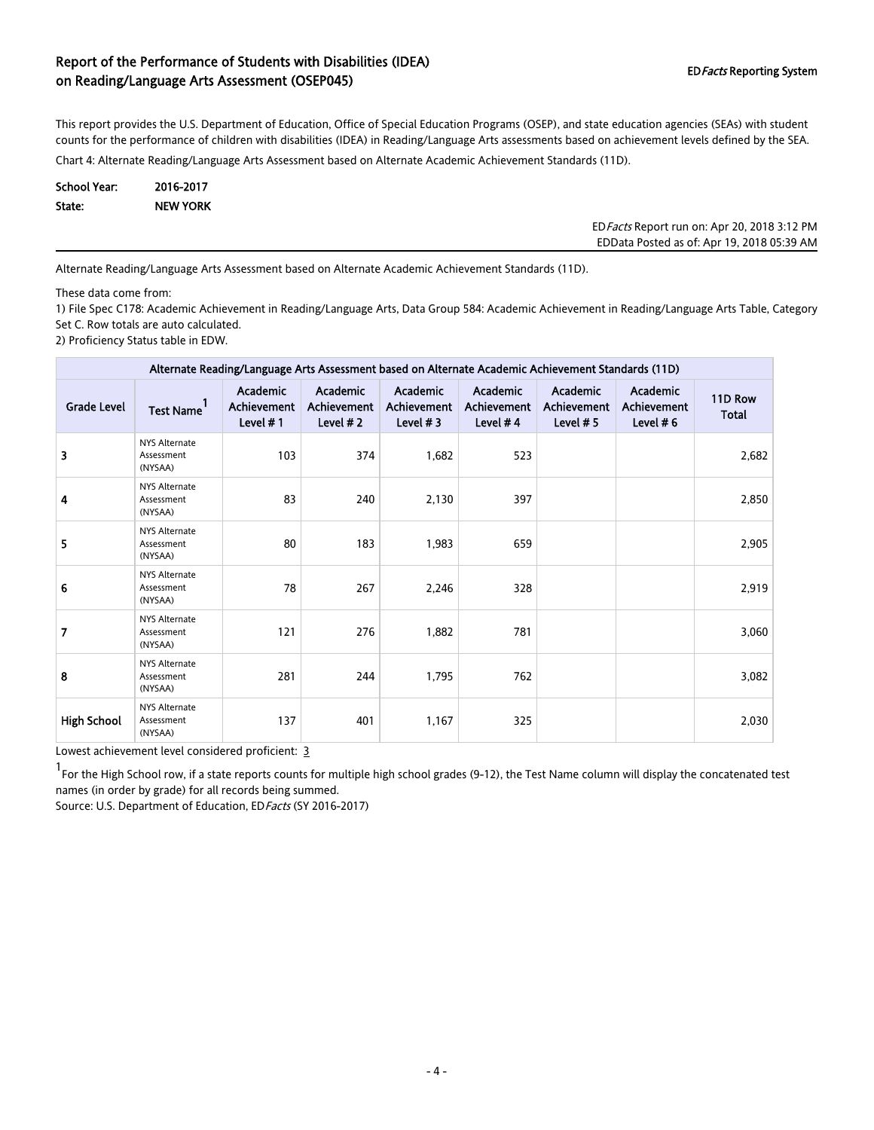This report provides the U.S. Department of Education, Office of Special Education Programs (OSEP), and state education agencies (SEAs) with student counts for the performance of children with disabilities (IDEA) in Reading/Language Arts assessments based on achievement levels defined by the SEA.

Chart 4: Alternate Reading/Language Arts Assessment based on Alternate Academic Achievement Standards (11D).

| School Year: | 2016-2017       |
|--------------|-----------------|
| State:       | <b>NEW YORK</b> |

EDFacts Report run on: Apr 20, 2018 3:12 PM EDData Posted as of: Apr 19, 2018 05:39 AM

Alternate Reading/Language Arts Assessment based on Alternate Academic Achievement Standards (11D).

These data come from:

1) File Spec C178: Academic Achievement in Reading/Language Arts, Data Group 584: Academic Achievement in Reading/Language Arts Table, Category Set C. Row totals are auto calculated.

2) Proficiency Status table in EDW.

| Alternate Reading/Language Arts Assessment based on Alternate Academic Achievement Standards (11D) |                                               |                                            |                                        |                                        |                                       |                                        |                                        |                         |  |
|----------------------------------------------------------------------------------------------------|-----------------------------------------------|--------------------------------------------|----------------------------------------|----------------------------------------|---------------------------------------|----------------------------------------|----------------------------------------|-------------------------|--|
| <b>Grade Level</b>                                                                                 | <b>Test Name</b>                              | <b>Academic</b><br>Achievement<br>Level #1 | Academic<br>Achievement<br>Level $# 2$ | Academic<br>Achievement<br>Level $# 3$ | Academic<br>Achievement<br>Level $#4$ | Academic<br>Achievement<br>Level $# 5$ | Academic<br>Achievement<br>Level $# 6$ | 11D Row<br><b>Total</b> |  |
| 3                                                                                                  | <b>NYS Alternate</b><br>Assessment<br>(NYSAA) | 103                                        | 374                                    | 1,682                                  | 523                                   |                                        |                                        | 2,682                   |  |
| 4                                                                                                  | <b>NYS Alternate</b><br>Assessment<br>(NYSAA) | 83                                         | 240                                    | 2,130                                  | 397                                   |                                        |                                        | 2,850                   |  |
| 5                                                                                                  | <b>NYS Alternate</b><br>Assessment<br>(NYSAA) | 80                                         | 183                                    | 1,983                                  | 659                                   |                                        |                                        | 2,905                   |  |
| 6                                                                                                  | <b>NYS Alternate</b><br>Assessment<br>(NYSAA) | 78                                         | 267                                    | 2,246                                  | 328                                   |                                        |                                        | 2,919                   |  |
| 7                                                                                                  | <b>NYS Alternate</b><br>Assessment<br>(NYSAA) | 121                                        | 276                                    | 1,882                                  | 781                                   |                                        |                                        | 3,060                   |  |
| 8                                                                                                  | <b>NYS Alternate</b><br>Assessment<br>(NYSAA) | 281                                        | 244                                    | 1,795                                  | 762                                   |                                        |                                        | 3,082                   |  |
| <b>High School</b>                                                                                 | <b>NYS Alternate</b><br>Assessment<br>(NYSAA) | 137                                        | 401                                    | 1,167                                  | 325                                   |                                        |                                        | 2,030                   |  |

Lowest achievement level considered proficient: 3

1 For the High School row, if a state reports counts for multiple high school grades (9-12), the Test Name column will display the concatenated test names (in order by grade) for all records being summed.